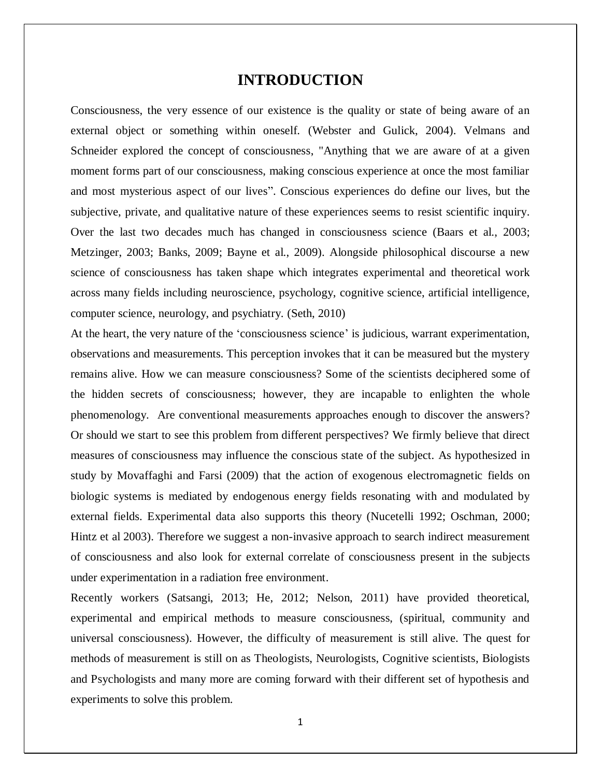### **INTRODUCTION**

Consciousness, the very essence of our existence is the quality or state of being aware of an external object or something within oneself. (Webster and Gulick, 2004). Velmans and Schneider explored the concept of consciousness, "Anything that we are aware of at a given moment forms part of our consciousness, making conscious experience at once the most familiar and most mysterious aspect of our lives". Conscious experiences do define our lives, but the subjective, private, and qualitative nature of these experiences seems to resist scientific inquiry. Over the last two decades much has changed in consciousness science (Baars et al., 2003; Metzinger, 2003; Banks, 2009; Bayne et al., 2009). Alongside philosophical discourse a new science of consciousness has taken shape which integrates experimental and theoretical work across many fields including neuroscience, psychology, cognitive science, artificial intelligence, computer science, neurology, and psychiatry. (Seth, 2010)

At the heart, the very nature of the 'consciousness science' is judicious, warrant experimentation, observations and measurements. This perception invokes that it can be measured but the mystery remains alive. How we can measure consciousness? Some of the scientists deciphered some of the hidden secrets of consciousness; however, they are incapable to enlighten the whole phenomenology. Are conventional measurements approaches enough to discover the answers? Or should we start to see this problem from different perspectives? We firmly believe that direct measures of consciousness may influence the conscious state of the subject. As hypothesized in study by Movaffaghi and Farsi (2009) that the action of exogenous electromagnetic fields on biologic systems is mediated by endogenous energy fields resonating with and modulated by external fields. Experimental data also supports this theory (Nucetelli 1992; Oschman, 2000; Hintz et al 2003). Therefore we suggest a non-invasive approach to search indirect measurement of consciousness and also look for external correlate of consciousness present in the subjects under experimentation in a radiation free environment.

Recently workers (Satsangi, 2013; He, 2012; Nelson, 2011) have provided theoretical, experimental and empirical methods to measure consciousness, (spiritual, community and universal consciousness). However, the difficulty of measurement is still alive. The quest for methods of measurement is still on as Theologists, Neurologists, Cognitive scientists, Biologists and Psychologists and many more are coming forward with their different set of hypothesis and experiments to solve this problem.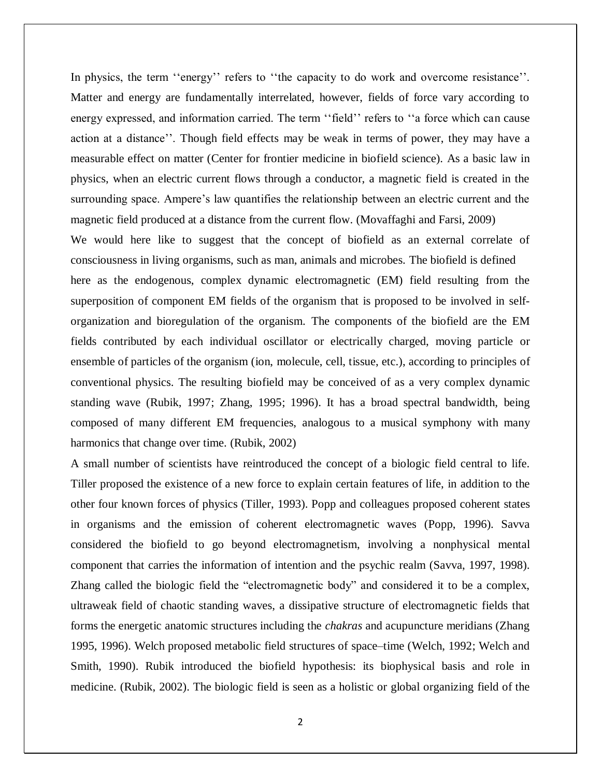In physics, the term "energy" refers to "the capacity to do work and overcome resistance". Matter and energy are fundamentally interrelated, however, fields of force vary according to energy expressed, and information carried. The term "field" refers to "a force which can cause action at a distance". Though field effects may be weak in terms of power, they may have a measurable effect on matter (Center for frontier medicine in biofield science). As a basic law in physics, when an electric current flows through a conductor, a magnetic field is created in the surrounding space. Ampere's law quantifies the relationship between an electric current and the magnetic field produced at a distance from the current flow. (Movaffaghi and Farsi, 2009)

We would here like to suggest that the concept of biofield as an external correlate of consciousness in living organisms, such as man, animals and microbes. The biofield is defined here as the endogenous, complex dynamic electromagnetic (EM) field resulting from the superposition of component EM fields of the organism that is proposed to be involved in selforganization and bioregulation of the organism. The components of the biofield are the EM fields contributed by each individual oscillator or electrically charged, moving particle or ensemble of particles of the organism (ion, molecule, cell, tissue, etc.), according to principles of conventional physics. The resulting biofield may be conceived of as a very complex dynamic standing wave (Rubik, 1997; Zhang, 1995; 1996). It has a broad spectral bandwidth, being composed of many different EM frequencies, analogous to a musical symphony with many harmonics that change over time. (Rubik, 2002)

A small number of scientists have reintroduced the concept of a biologic field central to life. Tiller proposed the existence of a new force to explain certain features of life, in addition to the other four known forces of physics (Tiller, 1993). Popp and colleagues proposed coherent states in organisms and the emission of coherent electromagnetic waves (Popp, 1996). Savva considered the biofield to go beyond electromagnetism, involving a nonphysical mental component that carries the information of intention and the psychic realm (Savva, 1997, 1998). Zhang called the biologic field the "electromagnetic body" and considered it to be a complex, ultraweak field of chaotic standing waves, a dissipative structure of electromagnetic fields that forms the energetic anatomic structures including the *chakras* and acupuncture meridians (Zhang 1995, 1996). Welch proposed metabolic field structures of space–time (Welch, 1992; Welch and Smith, 1990). Rubik introduced the biofield hypothesis: its biophysical basis and role in medicine. (Rubik, 2002). The biologic field is seen as a holistic or global organizing field of the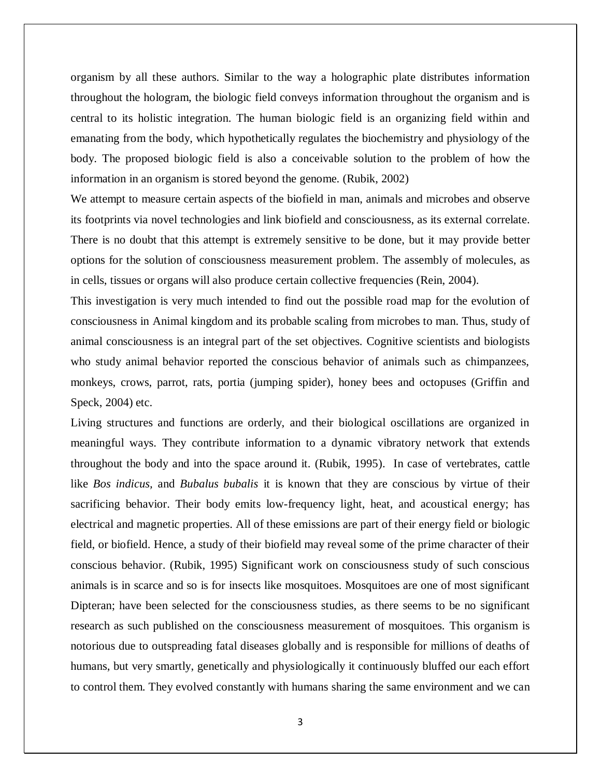organism by all these authors. Similar to the way a holographic plate distributes information throughout the hologram, the biologic field conveys information throughout the organism and is central to its holistic integration. The human biologic field is an organizing field within and emanating from the body, which hypothetically regulates the biochemistry and physiology of the body. The proposed biologic field is also a conceivable solution to the problem of how the information in an organism is stored beyond the genome. (Rubik, 2002)

We attempt to measure certain aspects of the biofield in man, animals and microbes and observe its footprints via novel technologies and link biofield and consciousness, as its external correlate. There is no doubt that this attempt is extremely sensitive to be done, but it may provide better options for the solution of consciousness measurement problem. The assembly of molecules, as in cells, tissues or organs will also produce certain collective frequencies (Rein, 2004).

This investigation is very much intended to find out the possible road map for the evolution of consciousness in Animal kingdom and its probable scaling from microbes to man. Thus, study of animal consciousness is an integral part of the set objectives. Cognitive scientists and biologists who study animal behavior reported the conscious behavior of animals such as chimpanzees, monkeys, crows, parrot, rats, portia (jumping spider), honey bees and octopuses (Griffin and Speck, 2004) etc.

Living structures and functions are orderly, and their biological oscillations are organized in meaningful ways. They contribute information to a dynamic vibratory network that extends throughout the body and into the space around it. (Rubik, 1995). In case of vertebrates, cattle like *Bos indicus,* and *Bubalus bubalis* it is known that they are conscious by virtue of their sacrificing behavior. Their body emits low-frequency light, heat, and acoustical energy; has electrical and magnetic properties. All of these emissions are part of their energy field or biologic field, or biofield. Hence, a study of their biofield may reveal some of the prime character of their conscious behavior. (Rubik, 1995) Significant work on consciousness study of such conscious animals is in scarce and so is for insects like mosquitoes. Mosquitoes are one of most significant Dipteran; have been selected for the consciousness studies, as there seems to be no significant research as such published on the consciousness measurement of mosquitoes. This organism is notorious due to outspreading fatal diseases globally and is responsible for millions of deaths of humans, but very smartly, genetically and physiologically it continuously bluffed our each effort to control them. They evolved constantly with humans sharing the same environment and we can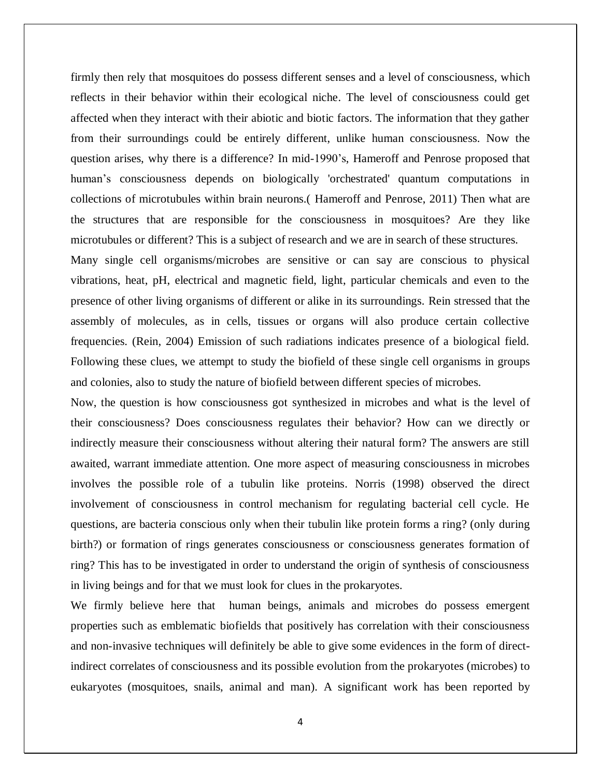firmly then rely that mosquitoes do possess different senses and a level of consciousness, which reflects in their behavior within their ecological niche. The level of consciousness could get affected when they interact with their abiotic and biotic factors. The information that they gather from their surroundings could be entirely different, unlike human consciousness. Now the question arises, why there is a difference? In mid-1990"s, Hameroff and Penrose proposed that human"s consciousness depends on biologically 'orchestrated' quantum computations in collections of microtubules within brain neurons.( Hameroff and Penrose, 2011) Then what are the structures that are responsible for the consciousness in mosquitoes? Are they like microtubules or different? This is a subject of research and we are in search of these structures.

Many single cell organisms/microbes are sensitive or can say are conscious to physical vibrations, heat, pH, electrical and magnetic field, light, particular chemicals and even to the presence of other living organisms of different or alike in its surroundings. Rein stressed that the assembly of molecules, as in cells, tissues or organs will also produce certain collective frequencies. (Rein, 2004) Emission of such radiations indicates presence of a biological field. Following these clues, we attempt to study the biofield of these single cell organisms in groups and colonies, also to study the nature of biofield between different species of microbes.

Now, the question is how consciousness got synthesized in microbes and what is the level of their consciousness? Does consciousness regulates their behavior? How can we directly or indirectly measure their consciousness without altering their natural form? The answers are still awaited, warrant immediate attention. One more aspect of measuring consciousness in microbes involves the possible role of a tubulin like proteins. Norris (1998) observed the direct involvement of consciousness in control mechanism for regulating bacterial cell cycle. He questions, are bacteria conscious only when their tubulin like protein forms a ring? (only during birth?) or formation of rings generates consciousness or consciousness generates formation of ring? This has to be investigated in order to understand the origin of synthesis of consciousness in living beings and for that we must look for clues in the prokaryotes.

We firmly believe here that human beings, animals and microbes do possess emergent properties such as emblematic biofields that positively has correlation with their consciousness and non-invasive techniques will definitely be able to give some evidences in the form of directindirect correlates of consciousness and its possible evolution from the prokaryotes (microbes) to eukaryotes (mosquitoes, snails, animal and man). A significant work has been reported by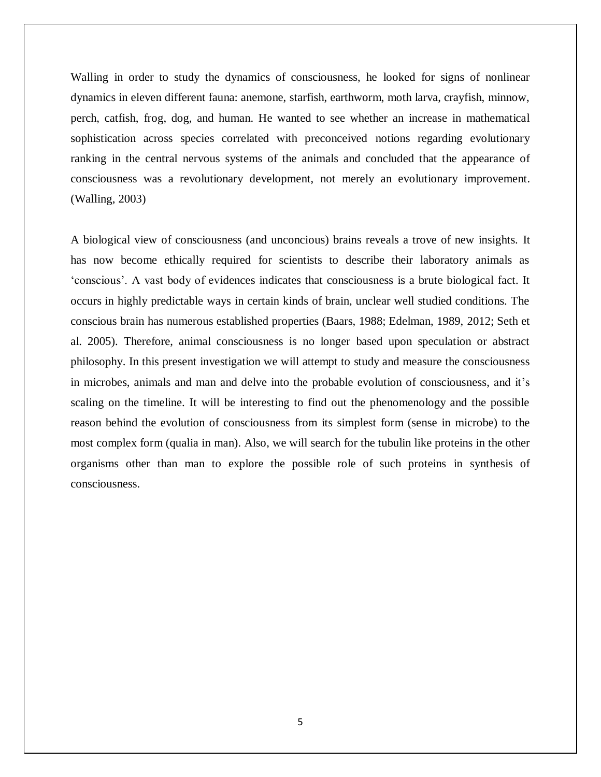Walling in order to study the dynamics of consciousness, he looked for signs of nonlinear dynamics in eleven different fauna: anemone, starfish, earthworm, moth larva, crayfish, minnow, perch, catfish, frog, dog, and human. He wanted to see whether an increase in mathematical sophistication across species correlated with preconceived notions regarding evolutionary ranking in the central nervous systems of the animals and concluded that the appearance of consciousness was a revolutionary development, not merely an evolutionary improvement. (Walling, 2003)

A biological view of consciousness (and unconcious) brains reveals a trove of new insights. It has now become ethically required for scientists to describe their laboratory animals as "conscious". A vast body of evidences indicates that consciousness is a brute biological fact. It occurs in highly predictable ways in certain kinds of brain, unclear well studied conditions. The conscious brain has numerous established properties (Baars, 1988; Edelman, 1989, 2012; Seth et al. 2005). Therefore, animal consciousness is no longer based upon speculation or abstract philosophy. In this present investigation we will attempt to study and measure the consciousness in microbes, animals and man and delve into the probable evolution of consciousness, and it"s scaling on the timeline. It will be interesting to find out the phenomenology and the possible reason behind the evolution of consciousness from its simplest form (sense in microbe) to the most complex form (qualia in man). Also, we will search for the tubulin like proteins in the other organisms other than man to explore the possible role of such proteins in synthesis of consciousness.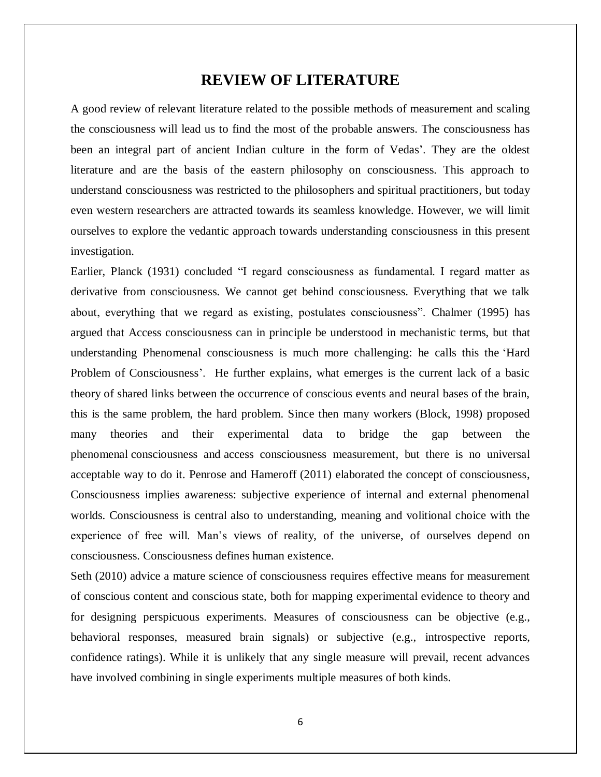#### **REVIEW OF LITERATURE**

A good review of relevant literature related to the possible methods of measurement and scaling the consciousness will lead us to find the most of the probable answers. The consciousness has been an integral part of ancient Indian culture in the form of Vedas'. They are the oldest literature and are the basis of the eastern philosophy on consciousness. This approach to understand consciousness was restricted to the philosophers and spiritual practitioners, but today even western researchers are attracted towards its seamless knowledge. However, we will limit ourselves to explore the vedantic approach towards understanding consciousness in this present investigation.

Earlier, Planck (1931) concluded "I regard consciousness as fundamental. I regard matter as derivative from consciousness. We cannot get behind consciousness. Everything that we talk about, everything that we regard as existing, postulates consciousness". Chalmer (1995) has argued that Access consciousness can in principle be understood in mechanistic terms, but that understanding Phenomenal consciousness is much more challenging: he calls this the "Hard Problem of Consciousness'. He further explains, what emerges is the current lack of a basic theory of shared links between the occurrence of conscious events and neural bases of the brain, this is the same problem, the hard problem. Since then many workers (Block, 1998) proposed many theories and their experimental data to bridge the gap between the phenomenal consciousness and access consciousness measurement, but there is no universal acceptable way to do it. Penrose and Hameroff (2011) elaborated the concept of consciousness, Consciousness implies awareness: subjective experience of internal and external phenomenal worlds. Consciousness is central also to understanding, meaning and volitional choice with the experience of free will. Man"s views of reality, of the universe, of ourselves depend on consciousness. Consciousness defines human existence.

Seth (2010) advice a mature science of consciousness requires effective means for measurement of conscious content and conscious state, both for mapping experimental evidence to theory and for designing perspicuous experiments. Measures of consciousness can be objective (e.g., behavioral responses, measured brain signals) or subjective (e.g., introspective reports, confidence ratings). While it is unlikely that any single measure will prevail, recent advances have involved combining in single experiments multiple measures of both kinds.

6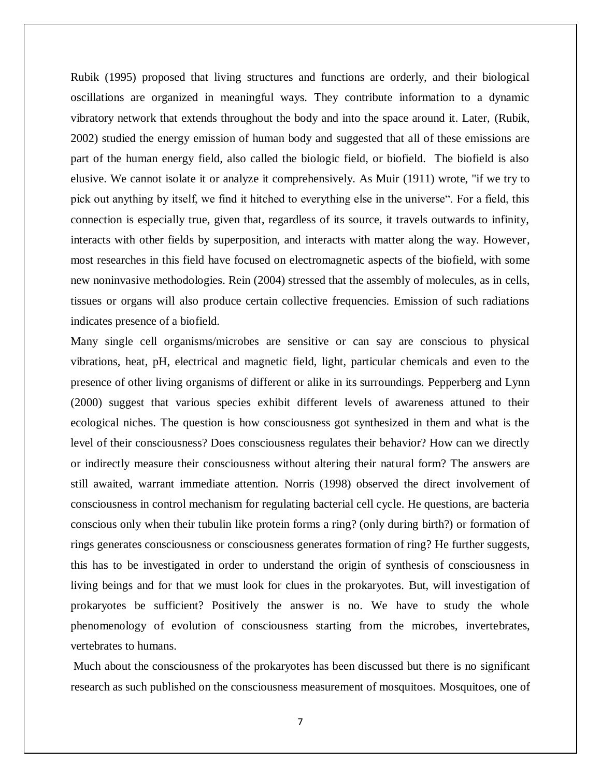Rubik (1995) proposed that living structures and functions are orderly, and their biological oscillations are organized in meaningful ways. They contribute information to a dynamic vibratory network that extends throughout the body and into the space around it. Later, (Rubik, 2002) studied the energy emission of human body and suggested that all of these emissions are part of the human energy field, also called the biologic field, or biofield. The biofield is also elusive. We cannot isolate it or analyze it comprehensively. As Muir (1911) wrote, "if we try to pick out anything by itself, we find it hitched to everything else in the universe". For a field, this connection is especially true, given that, regardless of its source, it travels outwards to infinity, interacts with other fields by superposition, and interacts with matter along the way. However, most researches in this field have focused on electromagnetic aspects of the biofield, with some new noninvasive methodologies. Rein (2004) stressed that the assembly of molecules, as in cells, tissues or organs will also produce certain collective frequencies. Emission of such radiations indicates presence of a biofield.

Many single cell organisms/microbes are sensitive or can say are conscious to physical vibrations, heat, pH, electrical and magnetic field, light, particular chemicals and even to the presence of other living organisms of different or alike in its surroundings. Pepperberg and Lynn (2000) suggest that various species exhibit different levels of awareness attuned to their ecological niches. The question is how consciousness got synthesized in them and what is the level of their consciousness? Does consciousness regulates their behavior? How can we directly or indirectly measure their consciousness without altering their natural form? The answers are still awaited, warrant immediate attention. Norris (1998) observed the direct involvement of consciousness in control mechanism for regulating bacterial cell cycle. He questions, are bacteria conscious only when their tubulin like protein forms a ring? (only during birth?) or formation of rings generates consciousness or consciousness generates formation of ring? He further suggests, this has to be investigated in order to understand the origin of synthesis of consciousness in living beings and for that we must look for clues in the prokaryotes. But, will investigation of prokaryotes be sufficient? Positively the answer is no. We have to study the whole phenomenology of evolution of consciousness starting from the microbes, invertebrates, vertebrates to humans.

Much about the consciousness of the prokaryotes has been discussed but there is no significant research as such published on the consciousness measurement of mosquitoes. Mosquitoes, one of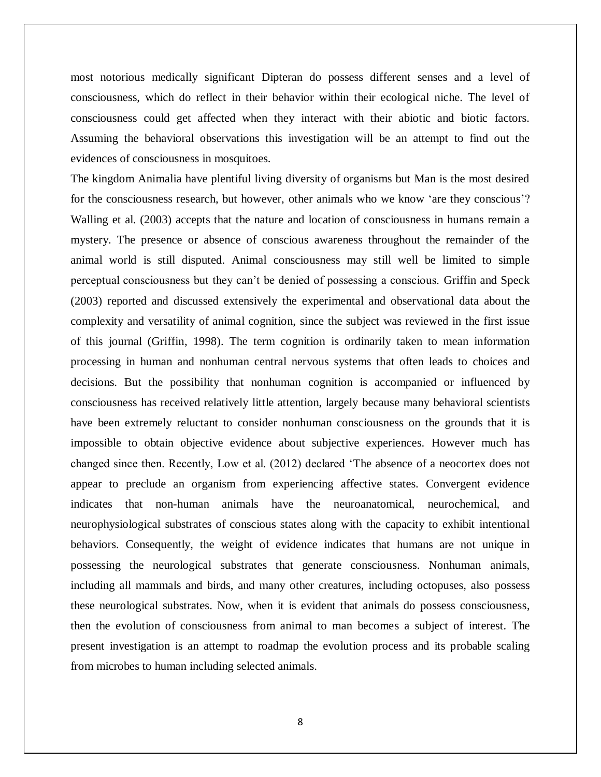most notorious medically significant Dipteran do possess different senses and a level of consciousness, which do reflect in their behavior within their ecological niche. The level of consciousness could get affected when they interact with their abiotic and biotic factors. Assuming the behavioral observations this investigation will be an attempt to find out the evidences of consciousness in mosquitoes.

The kingdom Animalia have plentiful living diversity of organisms but Man is the most desired for the consciousness research, but however, other animals who we know "are they conscious"? Walling et al. (2003) accepts that the nature and location of consciousness in humans remain a mystery. The presence or absence of conscious awareness throughout the remainder of the animal world is still disputed. Animal consciousness may still well be limited to simple perceptual consciousness but they can"t be denied of possessing a conscious. Griffin and Speck (2003) reported and discussed extensively the experimental and observational data about the complexity and versatility of animal cognition, since the subject was reviewed in the first issue of this journal (Griffin, 1998). The term cognition is ordinarily taken to mean information processing in human and nonhuman central nervous systems that often leads to choices and decisions. But the possibility that nonhuman cognition is accompanied or influenced by consciousness has received relatively little attention, largely because many behavioral scientists have been extremely reluctant to consider nonhuman consciousness on the grounds that it is impossible to obtain objective evidence about subjective experiences. However much has changed since then. Recently, Low et al. (2012) declared "The absence of a neocortex does not appear to preclude an organism from experiencing affective states. Convergent evidence indicates that non-human animals have the neuroanatomical, neurochemical, and neurophysiological substrates of conscious states along with the capacity to exhibit intentional behaviors. Consequently, the weight of evidence indicates that humans are not unique in possessing the neurological substrates that generate consciousness. Nonhuman animals, including all mammals and birds, and many other creatures, including octopuses, also possess these neurological substrates. Now, when it is evident that animals do possess consciousness, then the evolution of consciousness from animal to man becomes a subject of interest. The present investigation is an attempt to roadmap the evolution process and its probable scaling from microbes to human including selected animals.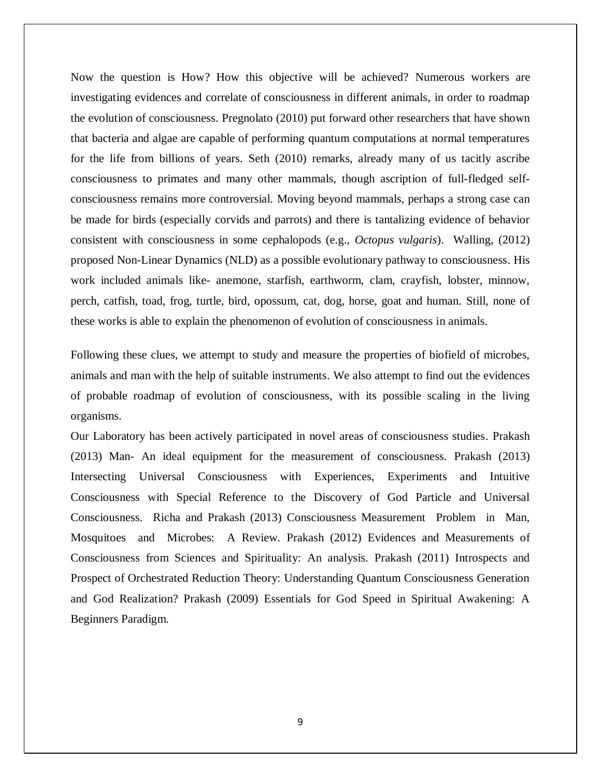Now the question is How? How this objective will be achieved? Numerous workers are investigating evidences and correlate of consciousness in different animals, in order to roadmap the evolution of consciousness. Pregnolato (2010) put forward other researchers that have shown that bacteria and algae are capable of performing quantum computations at normal temperatures for the life from billions of years. Seth (2010) remarks, already many of us tacitly ascribe consciousness to primates and many other mammals, though ascription of full-fledged selfconsciousness remains more controversial. Moving beyond mammals, perhaps a strong case can be made for birds (especially corvids and parrots) and there is tantalizing evidence of behavior consistent with consciousness in some cephalopods (e.g., *Octopus vulgaris*). Walling, (2012) proposed Non-Linear Dynamics (NLD) as a possible evolutionary pathway to consciousness. His work included animals like- anemone, starfish, earthworm, clam, crayfish, lobster, minnow, perch, catfish, toad, frog, turtle, bird, opossum, cat, dog, horse, goat and human. Still, none of these works is able to explain the phenomenon of evolution of consciousness in animals.

Following these clues, we attempt to study and measure the properties of biofield of microbes, animals and man with the help of suitable instruments. We also attempt to find out the evidences of probable roadmap of evolution of consciousness, with its possible scaling in the living organisms.

Our Laboratory has been actively participated in novel areas of consciousness studies. Prakash (2013) Man- An ideal equipment for the measurement of consciousness. Prakash (2013) Intersecting Universal Consciousness with Experiences, Experiments and Intuitive Consciousness with Special Reference to the Discovery of God Particle and Universal Consciousness. Richa and Prakash (2013) Consciousness Measurement Problem in Man, Mosquitoes and Microbes: A Review. Prakash (2012) Evidences and Measurements of Consciousness from Sciences and Spirituality: An analysis. Prakash (2011) Introspects and Prospect of Orchestrated Reduction Theory: Understanding Quantum Consciousness Generation and God Realization? Prakash (2009) Essentials for God Speed in Spiritual Awakening: A Beginners Paradigm.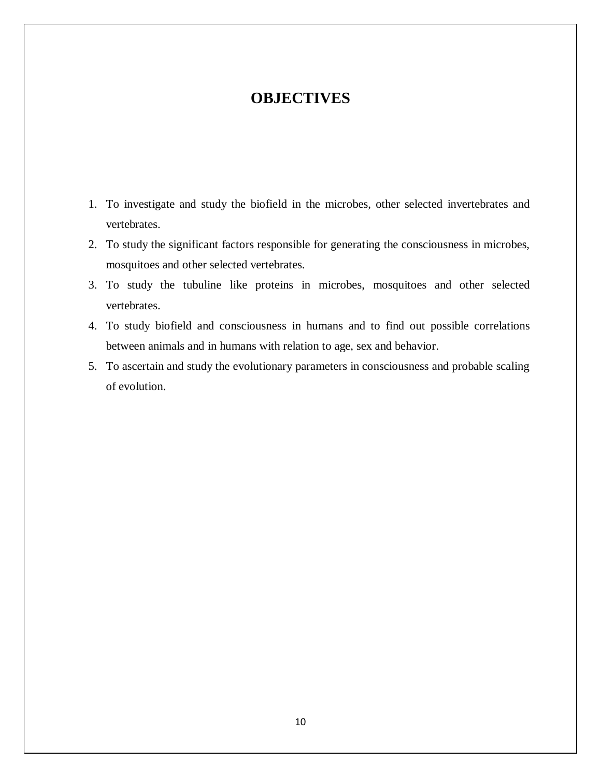## **OBJECTIVES**

- 1. To investigate and study the biofield in the microbes, other selected invertebrates and vertebrates.
- 2. To study the significant factors responsible for generating the consciousness in microbes, mosquitoes and other selected vertebrates.
- 3. To study the tubuline like proteins in microbes, mosquitoes and other selected vertebrates.
- 4. To study biofield and consciousness in humans and to find out possible correlations between animals and in humans with relation to age, sex and behavior.
- 5. To ascertain and study the evolutionary parameters in consciousness and probable scaling of evolution.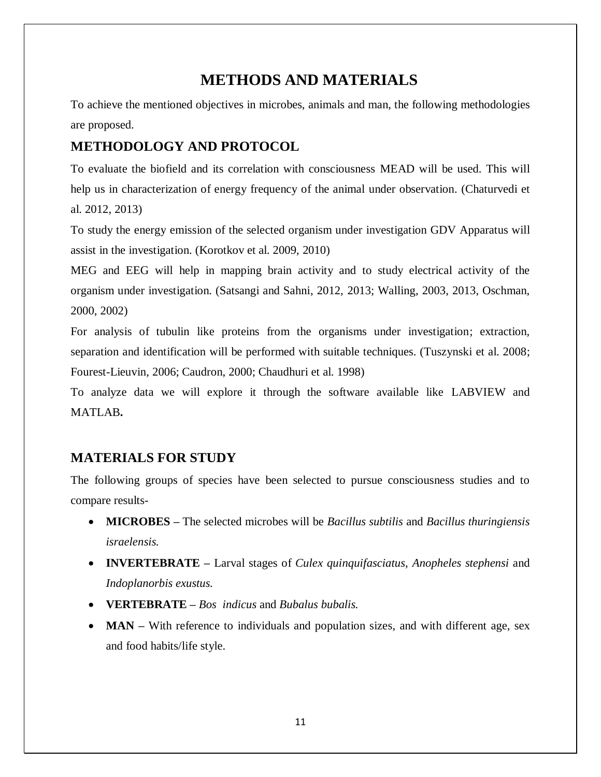# **METHODS AND MATERIALS**

To achieve the mentioned objectives in microbes, animals and man, the following methodologies are proposed.

### **METHODOLOGY AND PROTOCOL**

To evaluate the biofield and its correlation with consciousness MEAD will be used. This will help us in characterization of energy frequency of the animal under observation. (Chaturvedi et al. 2012, 2013)

To study the energy emission of the selected organism under investigation GDV Apparatus will assist in the investigation. (Korotkov et al. 2009, 2010)

MEG and EEG will help in mapping brain activity and to study electrical activity of the organism under investigation. (Satsangi and Sahni, 2012, 2013; Walling, 2003, 2013, Oschman, 2000, 2002)

For analysis of tubulin like proteins from the organisms under investigation; extraction, separation and identification will be performed with suitable techniques. (Tuszynski et al. 2008; Fourest-Lieuvin, 2006; Caudron, 2000; Chaudhuri et al. 1998)

To analyze data we will explore it through the software available like LABVIEW and MATLAB**.**

### **MATERIALS FOR STUDY**

The following groups of species have been selected to pursue consciousness studies and to compare results-

- **MICROBES –** The selected microbes will be *Bacillus subtilis* and *Bacillus thuringiensis israelensis.*
- **INVERTEBRATE –** Larval stages of *Culex quinquifasciatus*, *Anopheles stephensi* and *Indoplanorbis exustus.*
- **VERTEBRATE –** *Bos indicus* and *Bubalus bubalis.*
- **MAN** With reference to individuals and population sizes, and with different age, sex and food habits/life style.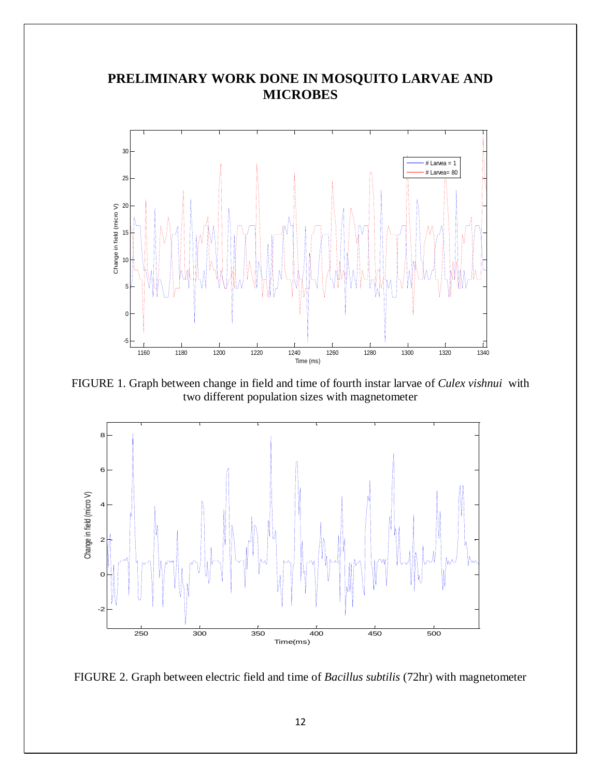## **PRELIMINARY WORK DONE IN MOSQUITO LARVAE AND MICROBES**



FIGURE 1. Graph between change in field and time of fourth instar larvae of *Culex vishnui* with two different population sizes with magnetometer



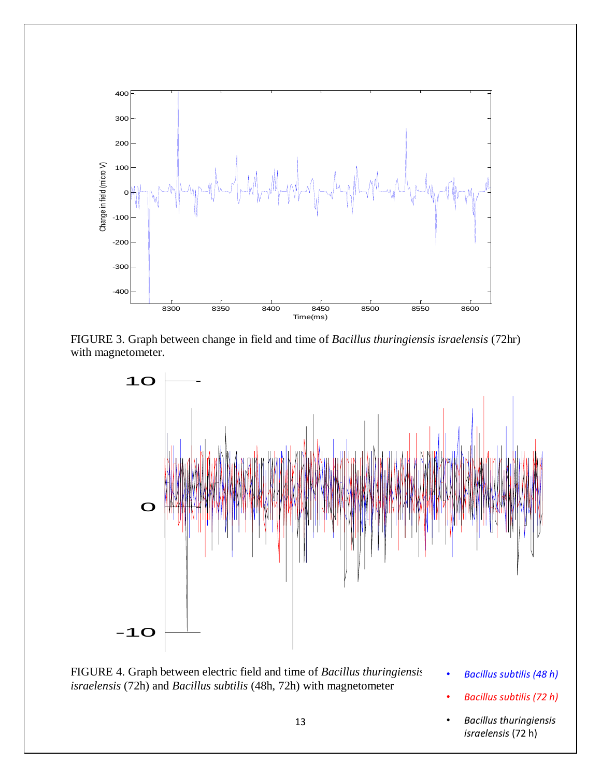

FIGURE 3. Graph between change in field and time of *Bacillus thuringiensis israelensis* (72hr) with magnetometer.



FIGURE 4. Graph between electric field and time of *Bacillus thuringiensis israelensis* (72h) and *Bacillus subtilis* (48h, 72h) with magnetometer

-20

- *Bacillus subtilis (48 h)*
- *Bacillus subtilis (72 h)*
- *Bacillus thuringiensis israelensis* (72 h)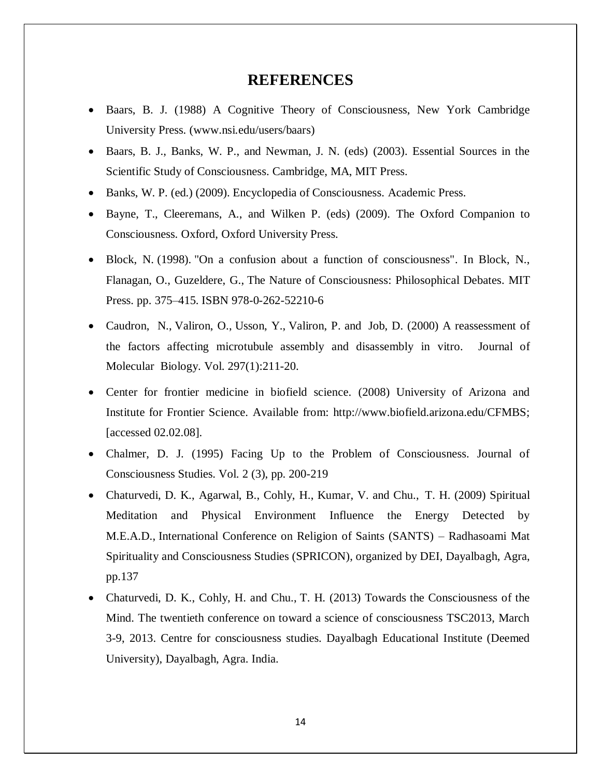#### **REFERENCES**

- Baars, B. J. (1988) A Cognitive Theory of Consciousness, New York Cambridge University Press. (www.nsi.edu/users/baars)
- Baars, B. J., Banks, W. P., and Newman, J. N. (eds) (2003). Essential Sources in the Scientific Study of Consciousness. Cambridge, MA, MIT Press.
- Banks, W. P. (ed.) (2009). Encyclopedia of Consciousness. Academic Press.
- Bayne, T., Cleeremans, A., and Wilken P. (eds) (2009). The Oxford Companion to Consciousness. Oxford, Oxford University Press.
- Block, N. (1998). "On a confusion about a function of consciousness". In Block, N., Flanagan, O., Guzeldere, G., The Nature of Consciousness: Philosophical Debates. MIT Press. pp. 375–415. ISBN 978-0-262-52210-6
- [Caudron, N.](http://www.ncbi.nlm.nih.gov/pubmed?term=Caudron%20N%5BAuthor%5D&cauthor=true&cauthor_uid=10704317), [Valiron, O.](http://www.ncbi.nlm.nih.gov/pubmed?term=Valiron%20O%5BAuthor%5D&cauthor=true&cauthor_uid=10704317), [Usson, Y.](http://www.ncbi.nlm.nih.gov/pubmed?term=Usson%20Y%5BAuthor%5D&cauthor=true&cauthor_uid=10704317), [Valiron, P.](http://www.ncbi.nlm.nih.gov/pubmed?term=Valiron%20P%5BAuthor%5D&cauthor=true&cauthor_uid=10704317) and [Job, D.](http://www.ncbi.nlm.nih.gov/pubmed?term=Job%20D%5BAuthor%5D&cauthor=true&cauthor_uid=10704317) (2000) A reassessment of the factors affecting microtubule assembly and disassembly in vitro. Journal of Molecular Biology. Vol. 297(1):211-20.
- Center for frontier medicine in biofield science. (2008) University of Arizona and Institute for Frontier Science. Available from: http://www.biofield.arizona.edu/CFMBS; [accessed 02.02.08].
- Chalmer, D. J. (1995) Facing Up to the Problem of Consciousness. Journal of Consciousness Studies. Vol. 2 (3), pp. 200-219
- Chaturvedi, D. K., Agarwal, B., Cohly, H., Kumar, V. and Chu., T. H. (2009) Spiritual Meditation and Physical Environment Influence the Energy Detected by M.E.A.D., International Conference on Religion of Saints (SANTS) – Radhasoami Mat Spirituality and Consciousness Studies (SPRICON), organized by DEI, Dayalbagh, Agra, pp.137
- Chaturvedi, D. K., Cohly, H. and Chu., T. H. (2013) Towards the Consciousness of the Mind. The twentieth conference on toward a science of consciousness TSC2013, March 3-9, 2013. Centre for consciousness studies. Dayalbagh Educational Institute (Deemed University), Dayalbagh, Agra. India.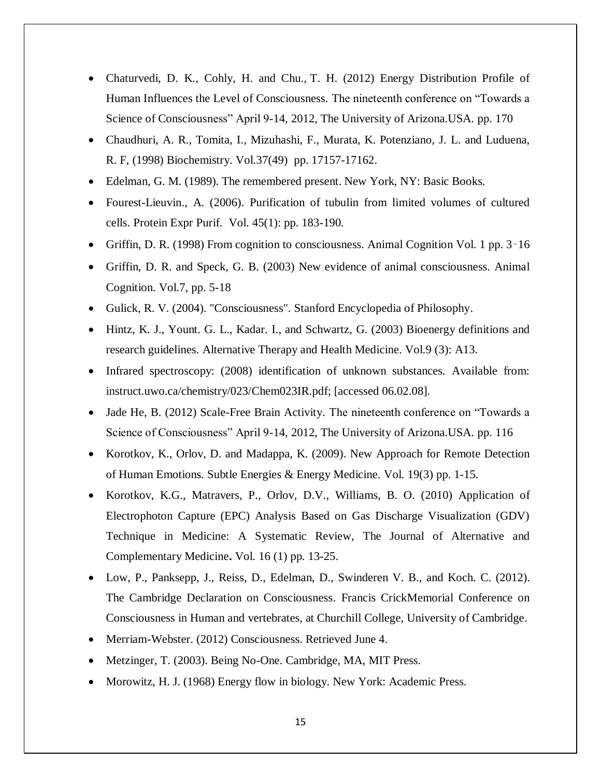- Chaturvedi, D. K., Cohly, H. and Chu., T. H. (2012) Energy Distribution Profile of Human Influences the Level of Consciousness. The nineteenth conference on "Towards a Science of Consciousness" April 9-14, 2012, The University of Arizona.USA. pp. 170
- Chaudhuri, A. R., Tomita, I., Mizuhashi, F., Murata, K. Potenziano, J. L. and Luduena, R. F, (1998) Biochemistry. Vol.37(49) pp. 17157-17162.
- Edelman, G. M. (1989). The remembered present. New York, NY: Basic Books.
- Fourest-Lieuvin., A. (2006). Purification of tubulin from limited volumes of cultured cells. Protein Expr Purif. Vol. 45(1): pp. 183-190.
- Griffin, D. R. (1998) From cognition to consciousness. Animal Cognition Vol. 1 pp. 3–16
- Griffin, D. R. and Speck, G. B. (2003) New evidence of animal consciousness. Animal Cognition. Vol.7, pp. 5-18
- Gulick, R. V. (2004). "Consciousness". Stanford Encyclopedia of Philosophy.
- Hintz, K. J., Yount. G. L., Kadar. I., and Schwartz, G. (2003) Bioenergy definitions and research guidelines. Alternative Therapy and Health Medicine. Vol.9 (3): A13.
- Infrared spectroscopy: (2008) identification of unknown substances. Available from: instruct.uwo.ca/chemistry/023/Chem023IR.pdf; [accessed 06.02.08].
- Jade He, B. (2012) Scale-Free Brain Activity. The nineteenth conference on "Towards a Science of Consciousness" April 9-14, 2012, The University of Arizona.USA. pp. 116
- Korotkov, K., Orlov, D. and Madappa, K. (2009). New Approach for Remote Detection of Human Emotions. Subtle Energies & Energy Medicine. Vol. 19(3) pp. 1-15.
- Korotkov, K.G., Matravers, P., Orlov, D.V., Williams, B. O. (2010) Application of Electrophoton Capture (EPC) Analysis Based on Gas Discharge Visualization (GDV) Technique in Medicine: A Systematic Review, The Journal of Alternative and Complementary Medicine**.** Vol. 16 (1) pp. 13-25.
- Low, P., Panksepp, J., Reiss, D., Edelman, D., Swinderen V. B., and Koch. C. (2012). The Cambridge Declaration on Consciousness. Francis CrickMemorial Conference on Consciousness in Human and vertebrates, at Churchill College, University of Cambridge.
- Merriam-Webster. (2012) Consciousness. Retrieved June 4.
- Metzinger, T. (2003). Being No-One. Cambridge, MA, MIT Press.
- Morowitz, H. J. (1968) Energy flow in biology. New York: Academic Press.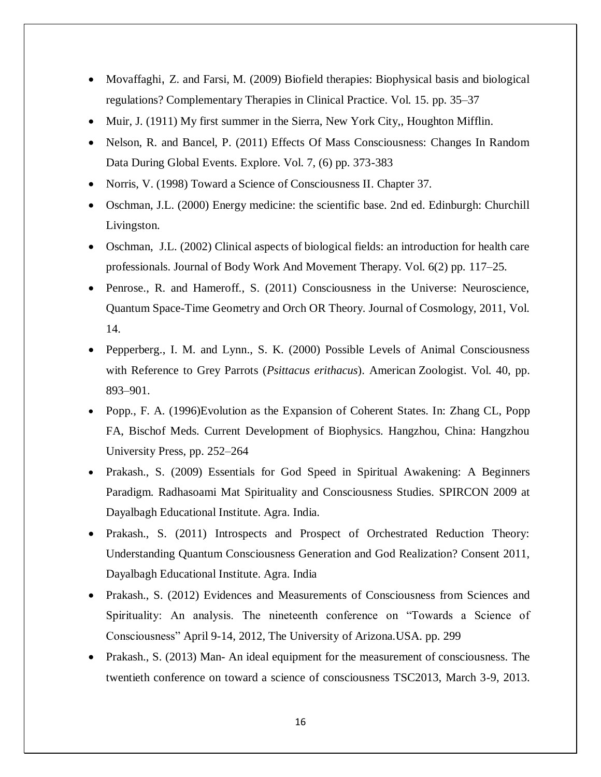- Movaffaghi, Z. and Farsi, M. (2009) Biofield therapies: Biophysical basis and biological regulations? Complementary Therapies in Clinical Practice. Vol. 15. pp. 35–37
- Muir, J. (1911) My first summer in the Sierra, New York City,, Houghton Mifflin.
- Nelson, R. and Bancel, P. (2011) Effects Of Mass Consciousness: Changes In Random Data During Global Events. Explore. Vol. 7, (6) pp. 373-383
- Norris, V. (1998) Toward a Science of Consciousness II. Chapter 37.
- Oschman, J.L. (2000) Energy medicine: the scientific base. 2nd ed. Edinburgh: Churchill Livingston.
- Oschman, J.L. (2002) Clinical aspects of biological fields: an introduction for health care professionals. Journal of Body Work And Movement Therapy. Vol. 6(2) pp. 117–25.
- Penrose., R. and Hameroff., S. (2011) Consciousness in the Universe: Neuroscience, Quantum Space-Time Geometry and Orch OR Theory. Journal of Cosmology, 2011, Vol. 14.
- Pepperberg., I. M. and Lynn., S. K. (2000) Possible Levels of Animal Consciousness with Reference to Grey Parrots (*Psittacus erithacus*). American Zoologist. Vol. 40, pp. 893–901.
- Popp., F. A. (1996)Evolution as the Expansion of Coherent States. In: Zhang CL, Popp FA, Bischof Meds. Current Development of Biophysics. Hangzhou, China: Hangzhou University Press, pp. 252–264
- Prakash., S. (2009) Essentials for God Speed in Spiritual Awakening: A Beginners Paradigm. Radhasoami Mat Spirituality and Consciousness Studies. SPIRCON 2009 at Dayalbagh Educational Institute. Agra. India.
- Prakash., S. (2011) Introspects and Prospect of Orchestrated Reduction Theory: Understanding Quantum Consciousness Generation and God Realization? Consent 2011, Dayalbagh Educational Institute. Agra. India
- Prakash., S. (2012) Evidences and Measurements of Consciousness from Sciences and Spirituality: An analysis. The nineteenth conference on "Towards a Science of Consciousness" April 9-14, 2012, The University of Arizona.USA. pp. 299
- Prakash., S. (2013) Man- An ideal equipment for the measurement of consciousness. The twentieth conference on toward a science of consciousness TSC2013, March 3-9, 2013.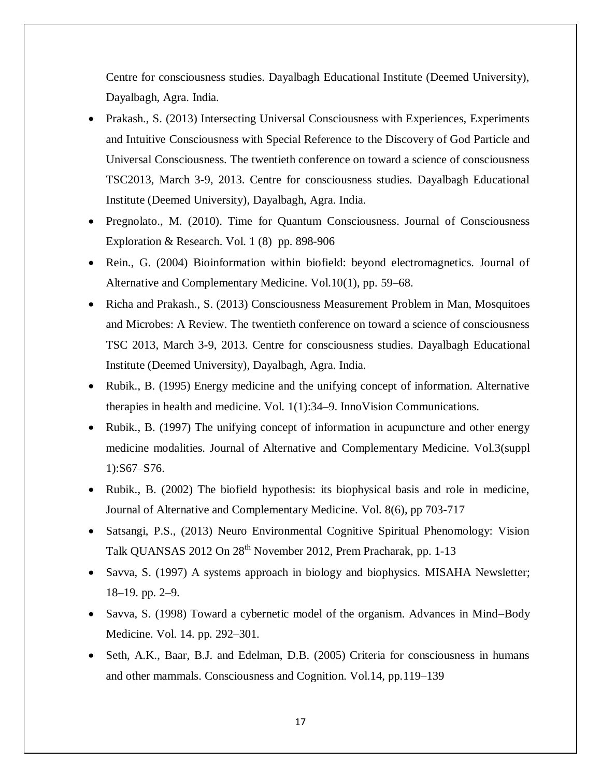Centre for consciousness studies. Dayalbagh Educational Institute (Deemed University), Dayalbagh, Agra. India.

- Prakash., S. (2013) Intersecting Universal Consciousness with Experiences, Experiments and Intuitive Consciousness with Special Reference to the Discovery of God Particle and Universal Consciousness. The twentieth conference on toward a science of consciousness TSC2013, March 3-9, 2013. Centre for consciousness studies. Dayalbagh Educational Institute (Deemed University), Dayalbagh, Agra. India.
- Pregnolato., M. (2010). Time for Quantum Consciousness. Journal of Consciousness Exploration & Research. Vol. 1 (8) pp. 898-906
- Rein., G. (2004) Bioinformation within biofield: beyond electromagnetics. Journal of Alternative and Complementary Medicine. Vol.10(1), pp. 59–68.
- Richa and Prakash., S. (2013) Consciousness Measurement Problem in Man, Mosquitoes and Microbes: A Review. The twentieth conference on toward a science of consciousness TSC 2013, March 3-9, 2013. Centre for consciousness studies. Dayalbagh Educational Institute (Deemed University), Dayalbagh, Agra. India.
- Rubik., B. (1995) Energy medicine and the unifying concept of information. Alternative therapies in health and medicine. Vol. 1(1):34–9. InnoVision Communications.
- Rubik., B. (1997) The unifying concept of information in acupuncture and other energy medicine modalities. Journal of Alternative and Complementary Medicine. Vol.3(suppl 1):S67–S76.
- Rubik., B. (2002) The biofield hypothesis: its biophysical basis and role in medicine, Journal of Alternative and Complementary Medicine. Vol. 8(6), pp 703-717
- Satsangi, P.S., (2013) Neuro Environmental Cognitive Spiritual Phenomology: Vision Talk QUANSAS 2012 On 28<sup>th</sup> November 2012, Prem Pracharak, pp. 1-13
- Savva, S. (1997) A systems approach in biology and biophysics. MISAHA Newsletter; 18–19. pp. 2–9.
- Savva, S. (1998) Toward a cybernetic model of the organism. Advances in Mind–Body Medicine. Vol. 14. pp. 292–301.
- Seth, A.K., Baar, B.J. and Edelman, D.B. (2005) Criteria for consciousness in humans and other mammals. Consciousness and Cognition. Vol.14, pp.119–139